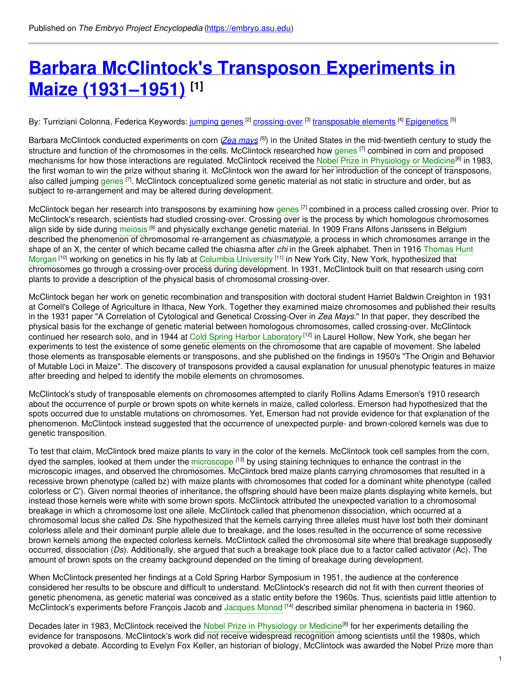# **Barbara [McClintock's](https://embryo.asu.edu/pages/barbara-mcclintocks-transposon-experiments-maize-1931-1951) Transposon Experiments in Maize (1931–1951) [1]**

By: Turriziani Colonna, Federica Keywords: <u>[jumping](https://embryo.asu.edu/keywords/jumping-genes) genes <sup>[2]</sup> [crossing-over](https://embryo.asu.edu/keywords/crossing-over)</u> [<sup>3]</sup> <u>[transposable](https://embryo.asu.edu/keywords/transposable-elements) elements</u> [4] <u>[Epigenetics](https://embryo.asu.edu/keywords/epigenetics)</u> [5]

Barbara McClintock conducted experiments on corn (Zea [mays](http://eol.org/pages/1115259/overview)<sup>[6]</sup>) in the United States in the mid-twentieth century to study the structure and function of the chromosomes in the cells. McClintock researched how [genes](https://embryo.asu.edu/search?text=genes) <sup>[7]</sup> combined in corn and proposed mechanisms for how those interactions are regulated. McClintock received the Nobel Prize in [Physiology](https://embryo.asu.edu/search?text=Nobel%20Prize%20in%20Physiology%20or%20Medicine) or Medicine<sup>[8]</sup> in 1983, the first woman to win the prize without sharing it. McClintock won the award for her introduction of the concept of transposons, also called jumping [genes](https://embryo.asu.edu/search?text=genes) <sup>[7]</sup>. McClintock conceptualized some genetic material as not static in structure and order, but as subject to re-arrangement and may be altered during development.

McClintock began her research into transposons by examining how [genes](https://embryo.asu.edu/search?text=genes) <sup>[7]</sup> combined in a process called crossing over. Prior to McClintock's research, scientists had studied crossing-over. Crossing over is the process by which homologous chromosomes align side by side during <mark>[meiosis](https://embryo.asu.edu/search?text=meiosis) <sup>[9]</sup> and physically exchange genetic material. In 1909 Frans Alfons Janssens in Belgium</mark> described the phenomenon of chromosomal re-arrangement as *chiasmatypie*, a process in which chromosomes arrange in the shape of an X, the center of which became called the chiasma after *chi* in the Greek alphabet. Then in 1916 Thomas Hunt Morgan <sup>[10]</sup> working on genetics in his fly lab at Columbia [University](https://embryo.asu.edu/search?text=Columbia%20University) <sup>[11]</sup> in New York City, New York, [hypothesized](https://embryo.asu.edu/search?text=Thomas%20Hunt%20Morgan) that chromosomes go through a crossing-over process during development. In 1931, McClintock built on that research using corn plants to provide a description of the physical basis of chromosomal crossing-over.

McClintock began her work on genetic recombination and transposition with doctoral student Harriet Baldwin Creighton in 1931 at Cornell's College of Agriculture in Ithaca, New York. Together they examined maize chromosomes and published their results in the 1931 paper "A Correlation of Cytological and Genetical Crossing-Over in *Zea Mays*." In that paper, they described the physical basis for the exchange of genetic material between homologous chromosomes, called crossing-over. McClintock continued her research solo, and in 1944 at Cold Spring Harbor [Laboratory](https://embryo.asu.edu/search?text=Cold%20Spring%20Harbor%20Laboratory)<sup> [12]</sup> in Laurel Hollow, New York, she began her experiments to test the existence of some genetic elements on the chromosome that are capable of movement. She labeled those elements as transposable elements or transposons, and she published on the findings in 1950's "The Origin and Behavior of Mutable Loci in Maize". The discovery of transposons provided a causal explanation for unusual phenotypic features in maize after breeding and helped to identify the mobile elements on chromosomes.

McClintock's study of transposable elements on chromosomes attempted to clarify Rollins Adams Emerson's 1910 research about the occurrence of purple or brown spots on white kernels in maize, called colorless. Emerson had hypothesized that the spots occurred due to unstable mutations on chromosomes. Yet, Emerson had not provide evidence for that explanation of the phenomenon. McClintock instead suggested that the occurrence of unexpected purple- and brown-colored kernels was due to genetic transposition.

To test that claim, McClintock bred maize plants to vary in the color of the kernels. McClintock took cell samples from the corn, dyed the samples, looked at them under the [microscope](https://embryo.asu.edu/search?text=microscope) <sup>[13]</sup> by using staining techniques to enhance the contrast in the microscopic images, and observed the chromosomes. McClintock bred maize plants carrying chromosomes that resulted in a recessive brown phenotype (called bz) with maize plants with chromosomes that coded for a dominant white phenotype (called colorless or C'). Given normal theories of inheritance, the offspring should have been maize plants displaying white kernels, but instead those kernels were white with some brown spots. McClintock attributed the unexpected variation to a chromosomal breakage in which a chromosome lost one allele. McClintock called that phenomenon dissociation, which occurred at a chromosomal locus she called *Ds*. She hypothesized that the kernels carrying three alleles must have lost both their dominant colorless allele and their dominant purple allele due to breakage, and the loses resulted in the occurrence of some recessive brown kernels among the expected colorless kernels. McClintock called the chromosomal site where that breakage supposedly occurred, dissociation (*Ds*). Additionally, she argued that such a breakage took place due to a factor called activator (Ac). The amount of brown spots on the creamy background depended on the timing of breakage during development.

When McClintock presented her findings at a Cold Spring Harbor Symposium in 1951, the audience at the conference considered her results to be obscure and difficult to understand. McClintock's research did not fit with then current theories of genetic phenomena, as genetic material was conceived as a static entity before the 1960s. Thus, scientists paid little attention to McClintock's experiments before François Jacob and [Jacques](https://embryo.asu.edu/search?text=Jacques%20Monod) Monod <sup>[14]</sup> described similar phenomena in bacteria in 1960.

Decades later in 1983, McClintock received the Nobel Prize in [Physiology](https://embryo.asu.edu/search?text=Nobel%20Prize%20in%20Physiology%20or%20Medicine) or Medicine<sup>[8]</sup> for her experiments detailing the evidence for transposons. McClintock's work did not receive widespread recognition among scientists until the 1980s, which provoked a debate. According to Evelyn Fox Keller, an historian of biology, McClintock was awarded the Nobel Prize more than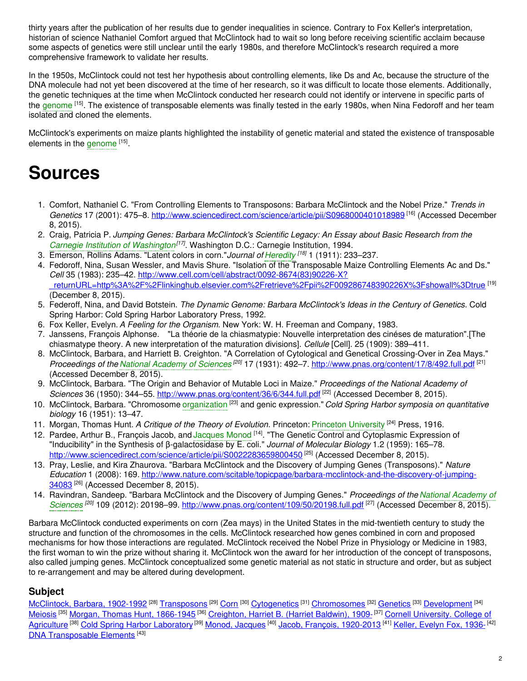thirty years after the publication of her results due to gender inequalities in science. Contrary to Fox Keller's interpretation, historian of science Nathaniel Comfort argued that McClintock had to wait so long before receiving scientific acclaim because some aspects of genetics were still unclear until the early 1980s, and therefore McClintock's research required a more comprehensive framework to validate her results.

In the 1950s, McClintock could not test her hypothesis about controlling elements, like Ds and Ac, because the structure of the DNA molecule had not yet been discovered at the time of her research, so it was difficult to locate those elements. Additionally, the genetic techniques at the time when McClintock conducted her research could not identify or intervene in specific parts of the [genome](https://embryo.asu.edu/search?text=genome) [15]. The existence of transposable elements was finally tested in the early 1980s, when Nina Fedoroff and her team isolated and cloned the elements.

McClintock's experiments on maize plants highlighted the instability of genetic material and stated the existence of transposable elements in the [genome](https://embryo.asu.edu/search?text=genome) [15].

# **Sources**

- 1. Comfort, Nathaniel C. "From Controlling Elements to Transposons: Barbara McClintock and the Nobel Prize." *Trends in* Genetics 17 (2001): 475–8. <http://www.sciencedirect.com/science/article/pii/S0968000401018989><sup>[16]</sup> (Accessed December 8, 2015).
- 2. Craig, Patricia P. *Jumping Genes: Barbara McClintock's Scientific Legacy: An Essay about Basic Research from the Carnegie Institution of [Washington](https://embryo.asu.edu/search?text=Carnegie%20Institution%20of%20Washington) [17]* . Washington D.C.: Carnegie Institution, 1994.
- 3. Emerson, Rollins Adams. "Latent colors in corn."*Journal of [Heredity](https://embryo.asu.edu/search?text=Heredity) [18]* 1 (1911): 233–237.
- 4. Fedoroff, Nina, Susan Wessler, and Mavis Shure. "Isolation of the Transposable Maize Controlling Elements Ac and Ds." *Cell* 35 (1983): 235–42. http://www.cell.com/cell/abstract/0092-8674(83)90226-X? [\\_returnURL=http%3A%2F%2Flinkinghub.elsevier.com%2Fretrieve%2Fpii%2F009286748390226X%3Fshowall%3Dtrue](http://www.cell.com/cell/abstract/0092-8674(83)90226-X?_returnURL=http%253A%252F%252Flinkinghub.elsevier.com%252Fretrieve%252Fpii%252F009286748390226X%253Fshowall%253Dtrue) [19] (December 8, 2015).
- 5. Federoff, Nina, and David Botstein. *The Dynamic Genome: Barbara McClintock's Ideas in the Century of Genetics*. Cold Spring Harbor: Cold Spring Harbor Laboratory Press, 1992.
- 6. Fox Keller, Evelyn. *A Feeling for the Organism*. New York: W. H. Freeman and Company, 1983.
- 7. Janssens, François Alphonse. "La théorie de la chiasmatypie: Nouvelle interpretation des cinéses de maturation".[The chiasmatype theory. A new interpretation of the maturation divisions]. *Cellule* [Cell]. 25 (1909): 389–411.
- 8. McClintock, Barbara, and Harriett B. Creighton. "A Correlation of Cytological and Genetical Crossing-Over in Zea Mays." *Proceedings of the National [Academy](https://embryo.asu.edu/search?text=National%20Academy%20of%20Sciences) of Sciences [20]* 17 (1931): 492–7. <http://www.pnas.org/content/17/8/492.full.pdf> [21] (Accessed December 8, 2015).
- 9. McClintock, Barbara. "The Origin and Behavior of Mutable Loci in Maize." *Proceedings of the National Academy of* Sciences 36 (1950): 344–55. <http://www.pnas.org/content/36/6/344.full.pdf><sup>[22]</sup> (Accessed December 8, 2015).
- 10. McClintock, Barbara. "Chromosome [organization](https://embryo.asu.edu/search?text=organization) [23] and genic expression." *Cold Spring Harbor symposia on quantitative biology* 16 (1951): 13–47.
- 11. Morgan, Thomas Hunt. *A Critique of the Theory of Evolution*. Princeton: Princeton [University](https://embryo.asu.edu/search?text=Princeton%20University) [24] Press, 1916.
- 12. Pardee, Arthur B., François Jacob, and [Jacques](https://embryo.asu.edu/search?text=Jacques%20Monod) Monod <sup>[14]</sup>. "The Genetic Control and Cytoplasmic Expression of "Inducibility" in the Synthesis of β-galactosidase by E. coli." *Journal of Molecular Biology* 1.2 (1959): 165–78. <http://www.sciencedirect.com/science/article/pii/S0022283659800450> [25] (Accessed December 8, 2015).
- 13. Pray, Leslie, and Kira Zhaurova. "Barbara McClintock and the Discovery of Jumping Genes (Transposons)." *Nature Education* 1 (2008): 169. [http://www.nature.com/scitable/topicpage/barbara-mcclintock-and-the-discovery-of-jumping-](http://www.nature.com/scitable/topicpage/barbara-mcclintock-and-the-discovery-of-jumping-34083)34083<sup>[26]</sup> (Accessed December 8, 2015).
- 14. Ravindran, Sandeep. "Barbara McClintock and the Discovery of Jumping Genes." *Proceedings of the National Academy of* Sciences<sup>[20]</sup> 109 (2012): 20198–99. [http://www.pnas.org/content/109/50/20198.full.pdf](https://embryo.asu.edu/search?text=National%20Academy%20of%20Sciences)<sup>[27]</sup> (Accessed December 8, 2015).

Barbara McClintock conducted experiments on corn (Zea mays) in the United States in the mid-twentieth century to study the structure and function of the chromosomes in the cells. McClintock researched how genes combined in corn and proposed mechanisms for how those interactions are regulated. McClintock received the Nobel Prize in Physiology or Medicine in 1983, the first woman to win the prize without sharing it. McClintock won the award for her introduction of the concept of transposons, also called jumping genes. McClintock conceptualized some genetic material as not static in structure and order, but as subject to re-arrangement and may be altered during development.

### **Subject**

<u>[McClintock,](https://embryo.asu.edu/library-congress-subject-headings/mcclintock-barbara-1902-1992) Barbara, 1902-1992</u> <sup>[28]</sup> [Transposons](https://embryo.asu.edu/library-congress-subject-headings/transposons) <sup>[29]</sup> [Corn](https://embryo.asu.edu/library-congress-subject-headings/corn) <sup>[30]</sup> [Cytogenetics](https://embryo.asu.edu/library-congress-subject-headings/cytogenetics) <sup>[31]</sup> [Chromosomes](https://embryo.asu.edu/library-congress-subject-headings/chromosomes) <sup>[32]</sup> [Genetics](https://embryo.asu.edu/library-congress-subject-headings/genetics) <sup>[33]</sup> [Development](https://embryo.asu.edu/library-congress-subject-headings/development) <sup>[34]</sup> <u>[Meiosis](https://embryo.asu.edu/library-congress-subject-headings/meiosis) <sup>[35]</sup> Morgan, Thomas Hunt, [1866-1945](https://embryo.asu.edu/library-congress-subject-headings/cornell-university-college-agriculture)</u> <sup>[36]</sup> [Creighton,](https://embryo.asu.edu/library-congress-subject-headings/creighton-harriet-b-harriet-baldwin-1909) Harriet B. (Harriet Baldwin), 1909-<sup>[37]</sup> Cornell University. College of Agriculture <sup>[38]</sup> Cold Spring Harbor [Laboratory](https://embryo.asu.edu/library-congress-subject-headings/cold-spring-harbor-laboratory) <sup>[39]</sup> Monod, [Jacques](https://embryo.asu.edu/library-congress-subject-headings/monod-jacques) <sup>[40]</sup> Jacob, François, [1920-2013](https://embryo.asu.edu/library-congress-subject-headings/jacob-francois-1920-2013-0) <sup>[41]</sup> Keller, [Evelyn](https://embryo.asu.edu/library-congress-subject-headings/keller-evelyn-fox-1936) Fox, 1936-<sup>[42]</sup> DNA [Transposable](https://embryo.asu.edu/medical-subject-headings/dna-transposable-elements) Elements<sup>[43]</sup>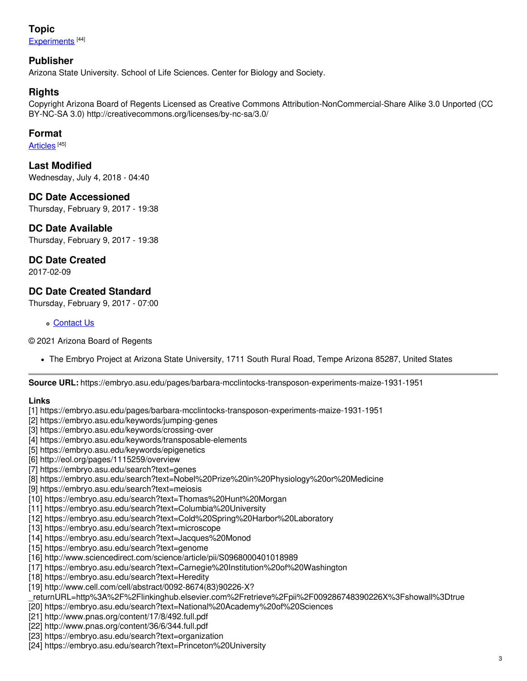## **Topic** [Experiments](https://embryo.asu.edu/topics/experiments)<sup>[44]</sup>

#### **Publisher**

Arizona State University. School of Life Sciences. Center for Biology and Society.

#### **Rights**

Copyright Arizona Board of Regents Licensed as Creative Commons Attribution-NonCommercial-Share Alike 3.0 Unported (CC BY-NC-SA 3.0) http://creativecommons.org/licenses/by-nc-sa/3.0/

#### **Format**

[Articles](https://embryo.asu.edu/formats/articles) <sup>[45]</sup>

**Last Modified** Wednesday, July 4, 2018 - 04:40

**DC Date Accessioned** Thursday, February 9, 2017 - 19:38

#### **DC Date Available** Thursday, February 9, 2017 - 19:38

#### **DC Date Created**

2017-02-09

### **DC Date Created Standard**

Thursday, February 9, 2017 - 07:00

#### [Contact](https://embryo.asu.edu/contact) Us

© 2021 Arizona Board of Regents

The Embryo Project at Arizona State University, 1711 South Rural Road, Tempe Arizona 85287, United States

**Source URL:** https://embryo.asu.edu/pages/barbara-mcclintocks-transposon-experiments-maize-1931-1951

#### **Links**

- [1] https://embryo.asu.edu/pages/barbara-mcclintocks-transposon-experiments-maize-1931-1951
- [2] https://embryo.asu.edu/keywords/jumping-genes
- [3] https://embryo.asu.edu/keywords/crossing-over
- [4] https://embryo.asu.edu/keywords/transposable-elements
- [5] https://embryo.asu.edu/keywords/epigenetics
- [6] http://eol.org/pages/1115259/overview
- [7] https://embryo.asu.edu/search?text=genes
- [8] https://embryo.asu.edu/search?text=Nobel%20Prize%20in%20Physiology%20or%20Medicine
- [9] https://embryo.asu.edu/search?text=meiosis
- [10] https://embryo.asu.edu/search?text=Thomas%20Hunt%20Morgan
- [11] https://embryo.asu.edu/search?text=Columbia%20University
- [12] https://embryo.asu.edu/search?text=Cold%20Spring%20Harbor%20Laboratory
- [13] https://embryo.asu.edu/search?text=microscope
- [14] https://embryo.asu.edu/search?text=Jacques%20Monod
- [15] https://embryo.asu.edu/search?text=genome
- [16] http://www.sciencedirect.com/science/article/pii/S0968000401018989
- [17] https://embryo.asu.edu/search?text=Carnegie%20Institution%20of%20Washington
- [18] https://embryo.asu.edu/search?text=Heredity
- [19] http://www.cell.com/cell/abstract/0092-8674(83)90226-X?
- \_returnURL=http%3A%2F%2Flinkinghub.elsevier.com%2Fretrieve%2Fpii%2F009286748390226X%3Fshowall%3Dtrue
- [20] https://embryo.asu.edu/search?text=National%20Academy%20of%20Sciences
- [21] http://www.pnas.org/content/17/8/492.full.pdf
- [22] http://www.pnas.org/content/36/6/344.full.pdf
- [23] https://embryo.asu.edu/search?text=organization
- [24] https://embryo.asu.edu/search?text=Princeton%20University